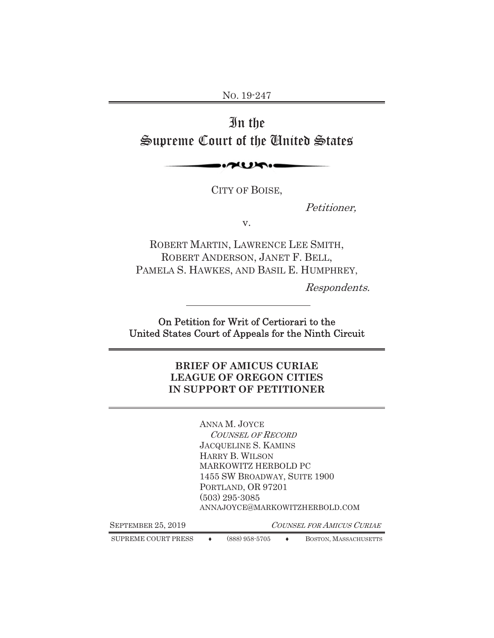NO. 19-247

# In the Supreme Court of the United States

 $\sim$ 

CITY OF BOISE,

Petitioner,

v.

ROBERT MARTIN, LAWRENCE LEE SMITH, ROBERT ANDERSON, JANET F. BELL, PAMELA S. HAWKES, AND BASIL E. HUMPHREY,

Respondents.

On Petition for Writ of Certiorari to the United States Court of Appeals for the Ninth Circuit

#### **BRIEF OF AMICUS CURIAE LEAGUE OF OREGON CITIES IN SUPPORT OF PETITIONER**

ANNA M. JOYCE COUNSEL OF RECORD JACQUELINE S. KAMINS HARRY B. WILSON MARKOWITZ HERBOLD PC 1455 SW BROADWAY, SUITE 1900 PORTLAND, OR 97201 (503) 295-3085 ANNAJOYCE@MARKOWITZHERBOLD.COM

SEPTEMBER 25, 2019 COUNSEL FOR AMICUS CURIAE

SUPREME COURT PRESS  $\leftrightarrow$  (888) 958-5705  $\leftrightarrow$  BOSTON, MASSACHUSETTS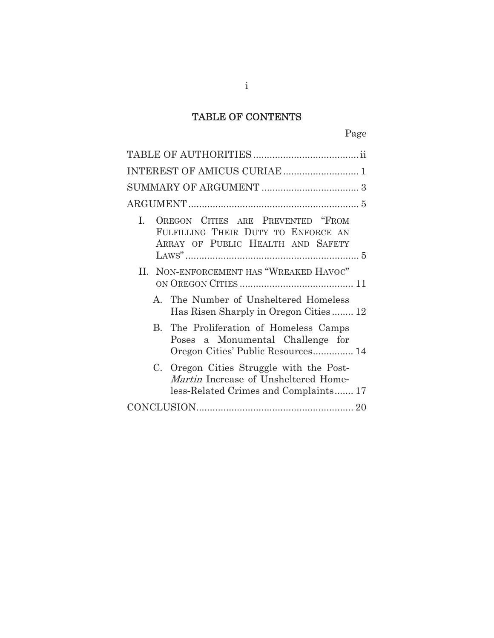# TABLE OF CONTENTS

| $\mathbf{I}$ . | OREGON CITIES ARE PREVENTED "FROM<br>FULFILLING THEIR DUTY TO ENFORCE AN<br>ARRAY OF PUBLIC HEALTH AND SAFETY             |
|----------------|---------------------------------------------------------------------------------------------------------------------------|
|                |                                                                                                                           |
|                | II. NON-ENFORCEMENT HAS "WREAKED HAVOC"                                                                                   |
| $\mathbf{A}$   | The Number of Unsheltered Homeless<br>Has Risen Sharply in Oregon Cities 12                                               |
| $\mathbf{B}$   | The Proliferation of Homeless Camps<br>Poses a Monumental Challenge for<br>Oregon Cities' Public Resources 14             |
|                | C. Oregon Cities Struggle with the Post-<br>Martin Increase of Unsheltered Home-<br>less-Related Crimes and Complaints 17 |
|                |                                                                                                                           |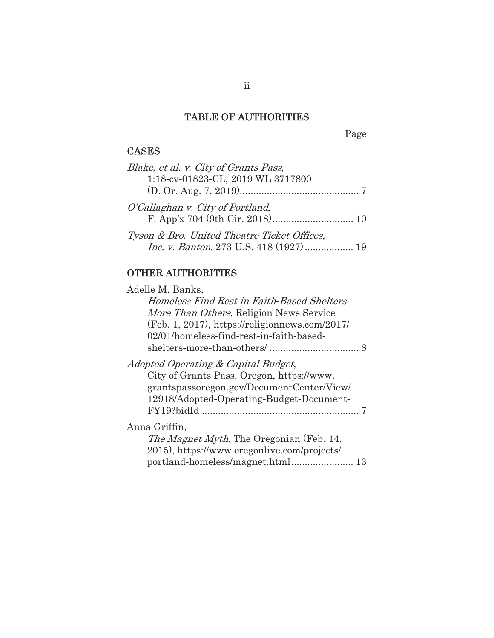### TABLE OF AUTHORITIES

TABLE Page

# CASES

| Blake, et al. v. City of Grants Pass,          |  |
|------------------------------------------------|--|
| 1:18-cv-01823-CL, 2019 WL 3717800              |  |
|                                                |  |
| O'Callaghan v. City of Portland,               |  |
|                                                |  |
| Tyson & Bro.-United Theatre Ticket Offices,    |  |
| <i>Inc. v. Banton, 273 U.S. 418 (1927)  19</i> |  |

# OTHER AUTHORITIES

| Adelle M. Banks,                                  |
|---------------------------------------------------|
| Homeless Find Rest in Faith-Based Shelters        |
| More Than Others, Religion News Service           |
| $(Feb. 1, 2017)$ , https://religionnews.com/2017/ |
| 02/01/homeless-find-rest-in-faith-based-          |
|                                                   |
| Adopted Operating & Capital Budget,               |
| City of Grants Pass, Oregon, https://www.         |
| grantspassoregon.gov/DocumentCenter/View/         |
| 12918/Adopted-Operating-Budget-Document-          |
|                                                   |
| Anna Griffin,                                     |
| <i>The Magnet Myth</i> , The Oregonian (Feb. 14,  |
| 2015), https://www.oregonlive.com/projects/       |
|                                                   |
|                                                   |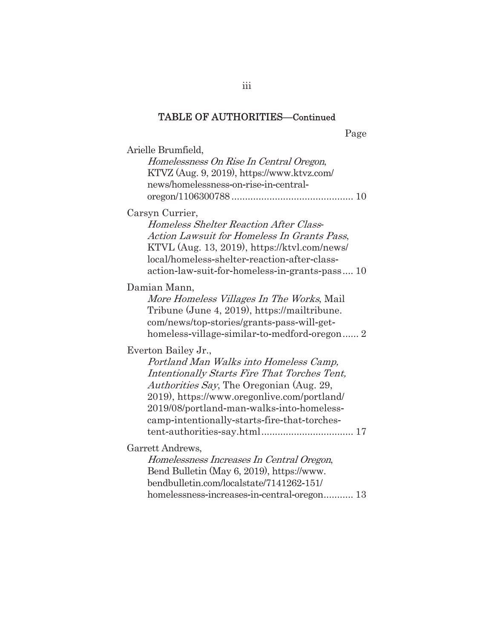Page

| Arielle Brumfield,                                 |
|----------------------------------------------------|
| Homelessness On Rise In Central Oregon,            |
| KTVZ (Aug. 9, 2019), https://www.ktvz.com/         |
| news/homelessness-on-rise-in-central-              |
|                                                    |
| Carsyn Currier,                                    |
| Homeless Shelter Reaction After Class-             |
| <b>Action Lawsuit for Homeless In Grants Pass,</b> |
| KTVL (Aug. 13, 2019), https://ktvl.com/news/       |
| local/homeless-shelter-reaction-after-class-       |
| action-law-suit-for-homeless-in-grants-pass 10     |
| Damian Mann,                                       |
| More Homeless Villages In The Works, Mail          |
| Tribune (June 4, 2019), https://mailtribune.       |
| com/news/top-stories/grants-pass-will-get-         |
| homeless-village-similar-to-medford-oregon 2       |
| Everton Bailey Jr.,                                |
| Portland Man Walks into Homeless Camp,             |
| Intentionally Starts Fire That Torches Tent,       |
| <i>Authorities Say</i> , The Oregonian (Aug. 29,   |
| 2019), https://www.oregonlive.com/portland/        |
| 2019/08/portland-man-walks-into-homeless-          |
| camp-intentionally-starts-fire-that-torches-       |
|                                                    |
| Garrett Andrews,                                   |
| Homelessness Increases In Central Oregon,          |
| Bend Bulletin (May 6, 2019), https://www.          |
| bendbulletin.com/localstate/7141262-151/           |
|                                                    |
|                                                    |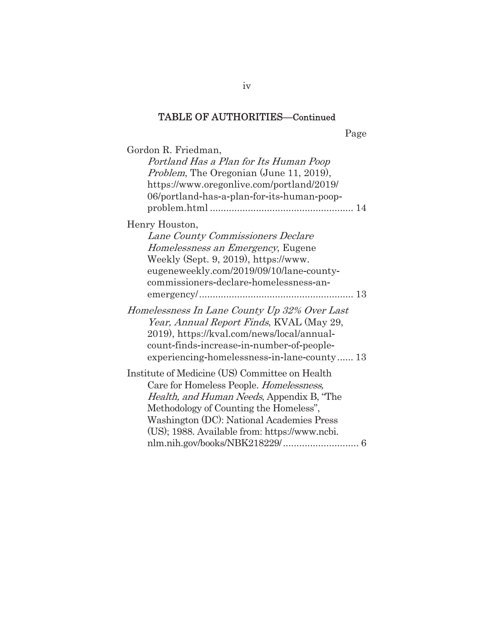Page

| Gordon R. Friedman,<br>Portland Has a Plan for Its Human Poop<br><i>Problem</i> , The Oregonian (June 11, 2019),<br>https://www.oregonlive.com/portland/2019/<br>06/portland-has-a-plan-for-its-human-poop-                                                                           |
|---------------------------------------------------------------------------------------------------------------------------------------------------------------------------------------------------------------------------------------------------------------------------------------|
| Henry Houston,<br>Lane County Commissioners Declare<br>Homelessness an Emergency, Eugene<br>Weekly (Sept. 9, 2019), https://www.<br>eugeneweekly.com/2019/09/10/lane-county-<br>commissioners-declare-homelessness-an-                                                                |
| Homelessness In Lane County Up 32% Over Last<br>Year, Annual Report Finds, KVAL (May 29,<br>2019), https://kval.com/news/local/annual-<br>count-finds-increase-in-number-of-people-<br>experiencing-homelessness-in-lane-county 13                                                    |
| Institute of Medicine (US) Committee on Health<br>Care for Homeless People. Homelessness,<br><i>Health, and Human Needs, Appendix B, "The</i><br>Methodology of Counting the Homeless",<br>Washington (DC): National Academies Press<br>(US); 1988. Available from: https://www.ncbi. |

iv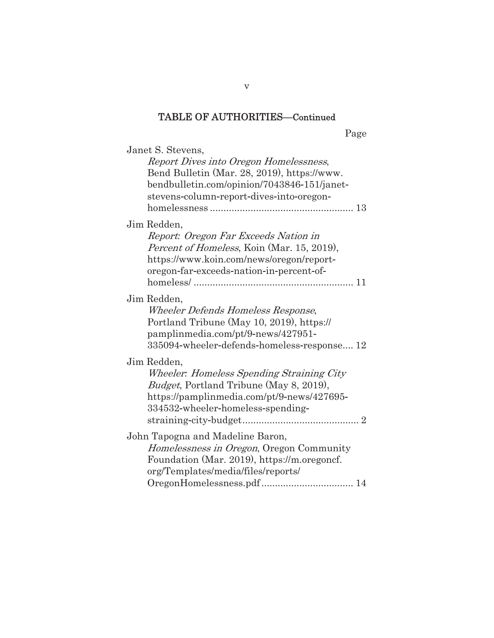Page

| Janet S. Stevens,                               |
|-------------------------------------------------|
| Report Dives into Oregon Homelessness,          |
| Bend Bulletin (Mar. 28, 2019), https://www.     |
| bendbulletin.com/opinion/7043846-151/janet-     |
| stevens-column-report-dives-into-oregon-        |
|                                                 |
| Jim Redden,                                     |
| Report: Oregon Far Exceeds Nation in            |
| Percent of Homeless, Koin (Mar. 15, 2019),      |
| https://www.koin.com/news/oregon/report-        |
| oregon-far-exceeds-nation-in-percent-of-        |
|                                                 |
| Jim Redden,                                     |
| Wheeler Defends Homeless Response,              |
| Portland Tribune (May 10, 2019), https://       |
| pamplinmedia.com/pt/9-news/427951-              |
| 335094-wheeler-defends-homeless-response 12     |
| Jim Redden,                                     |
| Wheeler: Homeless Spending Straining City       |
| <i>Budget</i> , Portland Tribune (May 8, 2019), |
| https://pamplinmedia.com/pt/9-news/427695-      |
| 334532-wheeler-homeless-spending-               |
|                                                 |
| John Tapogna and Madeline Baron,                |
| Homelessness in Oregon, Oregon Community        |
| Foundation (Mar. 2019), https://m.oregoncf.     |
| org/Templates/media/files/reports/              |
|                                                 |
|                                                 |

v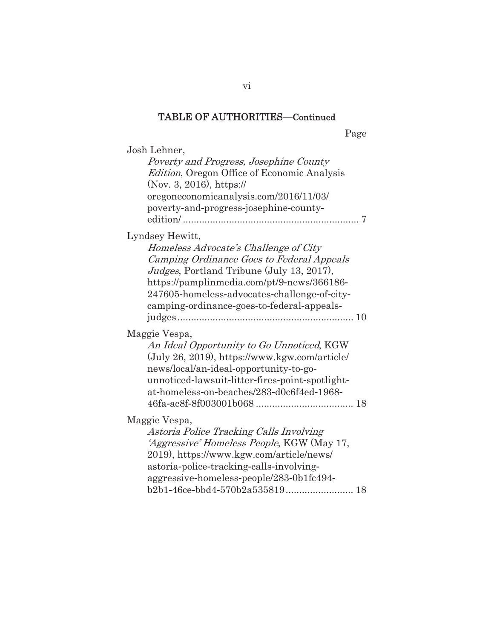Page

| Josh Lehner,                                                                           |
|----------------------------------------------------------------------------------------|
| Poverty and Progress, Josephine County                                                 |
| Edition, Oregon Office of Economic Analysis                                            |
| (Nov. 3, 2016), https://                                                               |
| oregoneconomicanalysis.com/2016/11/03/                                                 |
| poverty-and-progress-josephine-county-                                                 |
|                                                                                        |
| Lyndsey Hewitt,                                                                        |
| Homeless Advocate's Challenge of City                                                  |
| Camping Ordinance Goes to Federal Appeals<br>Judges, Portland Tribune (July 13, 2017), |
| https://pamplinmedia.com/pt/9-news/366186-                                             |
| 247605-homeless-advocates-challenge-of-city-                                           |
| camping-ordinance-goes-to-federal-appeals-                                             |
|                                                                                        |
| Maggie Vespa,                                                                          |
| An Ideal Opportunity to Go Unnoticed, KGW                                              |
| $(July 26, 2019), https://www.kgw.com/article/$                                        |
| news/local/an-ideal-opportunity-to-go-                                                 |
| unnoticed-lawsuit-litter-fires-point-spotlight-                                        |
| at-homeless-on-beaches/283-d0c6f4ed-1968-                                              |
|                                                                                        |
| Maggie Vespa,                                                                          |
| Astoria Police Tracking Calls Involving                                                |
| 'Aggressive' Homeless People, KGW (May 17,                                             |
| 2019), https://www.kgw.com/article/news/                                               |
| astoria-police-tracking-calls-involving-                                               |
| aggressive-homeless-people/283-0b1fc494-                                               |
|                                                                                        |

vi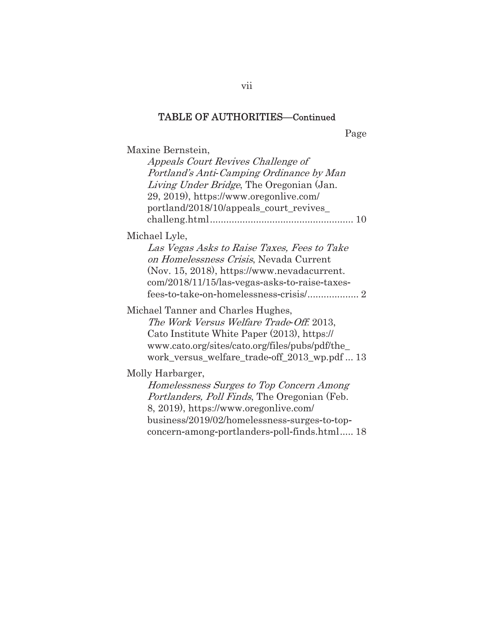Page

Maxine Bernstein,

| Appeals Court Revives Challenge of<br>Portland's Anti-Camping Ordinance by Man<br>Living Under Bridge, The Oregonian (Jan.<br>29, 2019), https://www.oregonlive.com/<br>portland/2018/10/appeals_court_revives_ |
|-----------------------------------------------------------------------------------------------------------------------------------------------------------------------------------------------------------------|
| Michael Lyle,                                                                                                                                                                                                   |
| Las Vegas Asks to Raise Taxes, Fees to Take<br>on Homelessness Crisis, Nevada Current<br>(Nov. 15, 2018), https://www.nevadacurrent.<br>com/2018/11/15/las-vegas-asks-to-raise-taxes-                           |
| Michael Tanner and Charles Hughes,                                                                                                                                                                              |
| The Work Versus Welfare Trade-Off. 2013,                                                                                                                                                                        |
| Cato Institute White Paper (2013), https://                                                                                                                                                                     |
| www.cato.org/sites/cato.org/files/pubs/pdf/the_                                                                                                                                                                 |
| work_versus_welfare_trade-off_2013_wp.pdf  13                                                                                                                                                                   |
| Molly Harbarger,                                                                                                                                                                                                |
| Homelessness Surges to Top Concern Among                                                                                                                                                                        |
| <i>Portlanders, Poll Finds, The Oregonian (Feb.</i>                                                                                                                                                             |
| 8, 2019), https://www.oregonlive.com/                                                                                                                                                                           |
| business/2019/02/homelessness-surges-to-top-                                                                                                                                                                    |
| concern-among-portlanders-poll-finds.html 18                                                                                                                                                                    |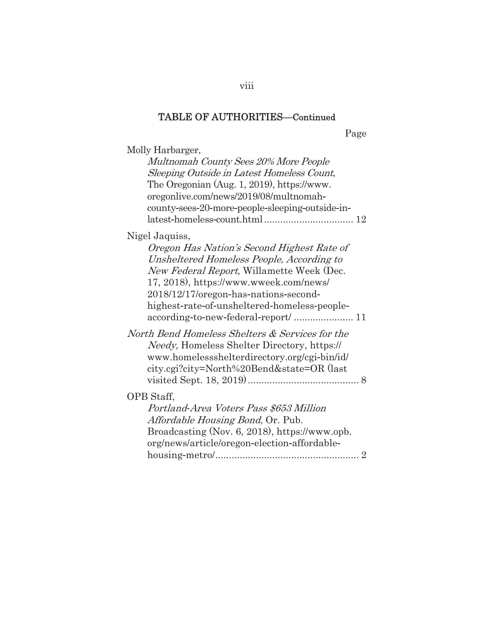Page

| 1 asv                                                                                                                                                                                                                                                                                     |
|-------------------------------------------------------------------------------------------------------------------------------------------------------------------------------------------------------------------------------------------------------------------------------------------|
| Molly Harbarger,<br>Multnomah County Sees 20% More People<br>Sleeping Outside in Latest Homeless Count,<br>The Oregonian (Aug. 1, 2019), https://www.<br>oregonlive.com/news/2019/08/multnomah-<br>county-sees-20-more-people-sleeping-outside-in-                                        |
| Nigel Jaquiss,<br>Oregon Has Nation's Second Highest Rate of<br>Unsheltered Homeless People, According to<br>New Federal Report, Willamette Week (Dec.<br>17, 2018), https://www.wweek.com/news/<br>2018/12/17/oregon-has-nations-second-<br>highest-rate-of-unsheltered-homeless-people- |
| North Bend Homeless Shelters & Services for the<br><i>Needy</i> , Homeless Shelter Directory, https://<br>www.homelessshelterdirectory.org/cgi-bin/id/<br>city.cgi?city=North%20Bend&state=OR (last                                                                                       |
| OPB Staff,<br>Portland-Area Voters Pass \$653 Million<br>Affordable Housing Bond, Or. Pub.<br>Broadcasting (Nov. 6, 2018), https://www.opb.<br>org/news/article/oregon-election-affordable-                                                                                               |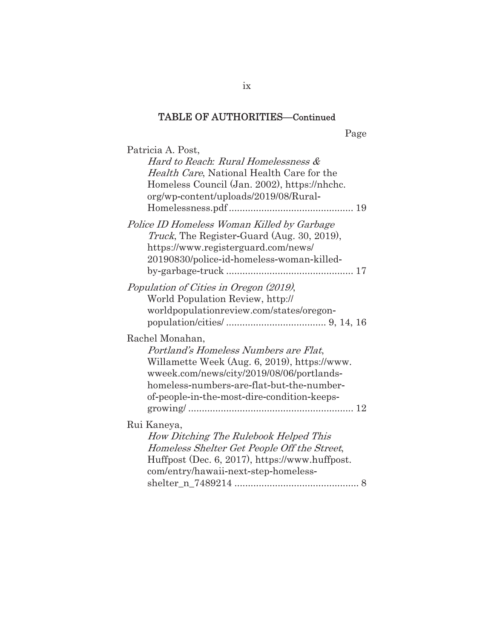Page

| Patricia A. Post,                                                                                                                                                                    |  |
|--------------------------------------------------------------------------------------------------------------------------------------------------------------------------------------|--|
| Hard to Reach: Rural Homelessness &                                                                                                                                                  |  |
| Health Care, National Health Care for the                                                                                                                                            |  |
| Homeless Council (Jan. 2002), https://nhchc.                                                                                                                                         |  |
| org/wp-content/uploads/2019/08/Rural-                                                                                                                                                |  |
|                                                                                                                                                                                      |  |
| Police ID Homeless Woman Killed by Garbage<br><i>Truck</i> , The Register-Guard (Aug. 30, 2019),<br>https://www.registerguard.com/news/<br>20190830/police-id-homeless-woman-killed- |  |
|                                                                                                                                                                                      |  |
| Population of Cities in Oregon (2019),                                                                                                                                               |  |
| World Population Review, http://<br>worldpopulationreview.com/states/oregon-                                                                                                         |  |
|                                                                                                                                                                                      |  |
| Rachel Monahan,                                                                                                                                                                      |  |
| Portland's Homeless Numbers are Flat.                                                                                                                                                |  |
| Willamette Week (Aug. 6, 2019), https://www.                                                                                                                                         |  |
| wweek.com/news/city/2019/08/06/portlands-                                                                                                                                            |  |
| homeless-numbers-are-flat-but-the-number-                                                                                                                                            |  |
| of-people-in-the-most-dire-condition-keeps-                                                                                                                                          |  |
|                                                                                                                                                                                      |  |
| Rui Kaneya,                                                                                                                                                                          |  |
| How Ditching The Rulebook Helped This                                                                                                                                                |  |
| Homeless Shelter Get People Off the Street,                                                                                                                                          |  |
| Huffpost (Dec. 6, 2017), https://www.huffpost.                                                                                                                                       |  |
| com/entry/hawaii-next-step-homeless-                                                                                                                                                 |  |
|                                                                                                                                                                                      |  |

ix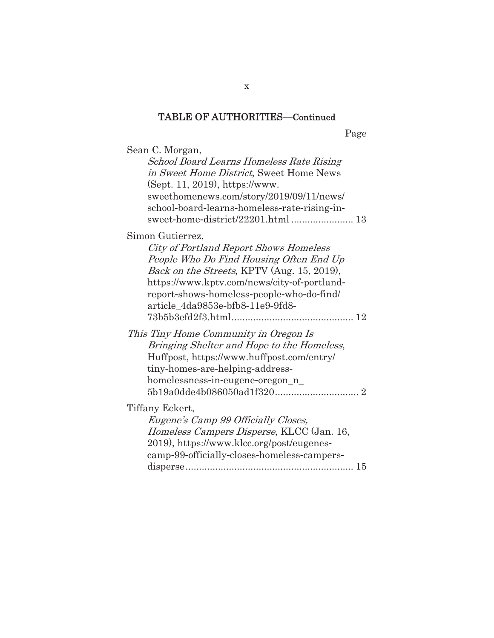Page

| Sean C. Morgan,<br>School Board Learns Homeless Rate Rising<br>in Sweet Home District, Sweet Home News<br>(Sept. 11, 2019), https://www.<br>sweethomenews.com/story/2019/09/11/news/<br>school-board-learns-homeless-rate-rising-in-<br>sweet-home-district/22201.html  13          |
|-------------------------------------------------------------------------------------------------------------------------------------------------------------------------------------------------------------------------------------------------------------------------------------|
| Simon Gutierrez,<br>City of Portland Report Shows Homeless<br>People Who Do Find Housing Often End Up<br>Back on the Streets, KPTV (Aug. 15, 2019),<br>https://www.kptv.com/news/city-of-portland-<br>report-shows-homeless-people-who-do-find/<br>article 4da9853e-bfb8-11e9-9fd8- |
| This Tiny Home Community in Oregon Is<br>Bringing Shelter and Hope to the Homeless,<br>Huffpost, https://www.huffpost.com/entry/<br>tiny-homes-are-helping-address-<br>homelessness-in-eugene-oregon_n_                                                                             |
| Tiffany Eckert,<br>Eugene's Camp 99 Officially Closes,<br>Homeless Campers Disperse, KLCC (Jan. 16,<br>2019), https://www.klcc.org/post/eugenes-<br>camp-99-officially-closes-homeless-campers-                                                                                     |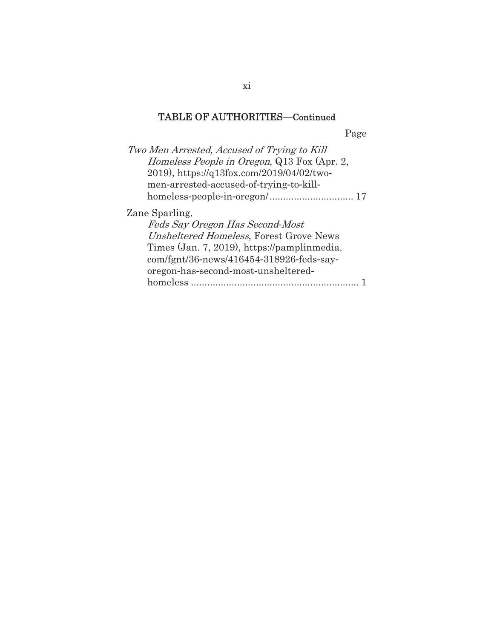Page

| Two Men Arrested, Accused of Trying to Kill<br><i>Homeless People in Oregon</i> , Q13 Fox (Apr. 2,<br>2019), https://q13fox.com/2019/04/02/two-<br>men-arrested-accused-of-trying-to-kill-                                     |  |
|--------------------------------------------------------------------------------------------------------------------------------------------------------------------------------------------------------------------------------|--|
| Zane Sparling,<br>Feds Say Oregon Has Second-Most<br>Unsheltered Homeless, Forest Grove News<br>Times (Jan. 7, 2019), https://pamplinmedia.<br>com/fgnt/36-news/416454-318926-feds-say-<br>oregon-has-second-most-unsheltered- |  |
| homeless<br>.                                                                                                                                                                                                                  |  |

xi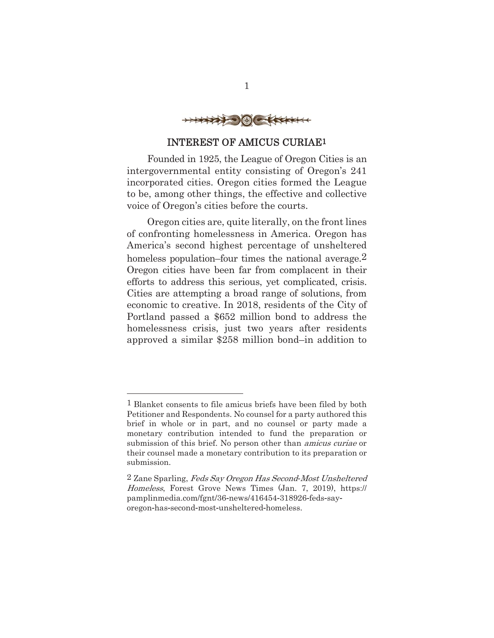

#### INTEREST OF AMICUS CURIAE1

Founded in 1925, the League of Oregon Cities is an intergovernmental entity consisting of Oregon's 241 incorporated cities. Oregon cities formed the League to be, among other things, the effective and collective voice of Oregon's cities before the courts.

Oregon cities are, quite literally, on the front lines of confronting homelessness in America. Oregon has America's second highest percentage of unsheltered homeless population–four times the national average.<sup>2</sup> Oregon cities have been far from complacent in their efforts to address this serious, yet complicated, crisis. Cities are attempting a broad range of solutions, from economic to creative. In 2018, residents of the City of Portland passed a \$652 million bond to address the homelessness crisis, just two years after residents approved a similar \$258 million bond–in addition to

<sup>1</sup> Blanket consents to file amicus briefs have been filed by both Petitioner and Respondents. No counsel for a party authored this brief in whole or in part, and no counsel or party made a monetary contribution intended to fund the preparation or submission of this brief. No person other than amicus curiae or their counsel made a monetary contribution to its preparation or submission.

<sup>2</sup> Zane Sparling, Feds Say Oregon Has Second*-*Most Unsheltered Homeless, Forest Grove News Times (Jan. 7, 2019), https:// pamplinmedia.com/fgnt/36-news/416454-318926-feds-sayoregon-has-second-most-unsheltered-homeless.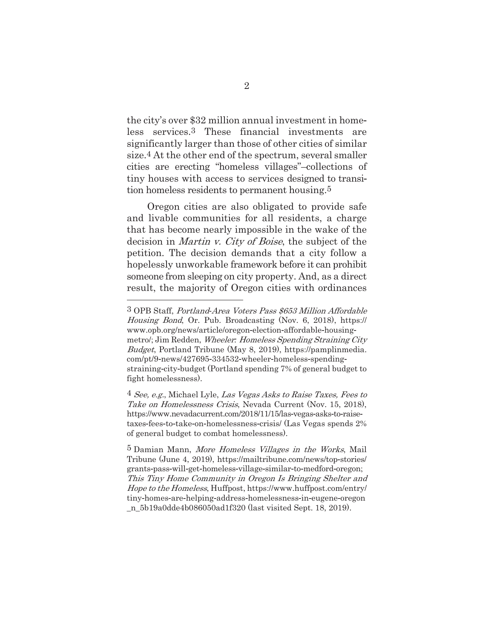the city's over \$32 million annual investment in home less services.3 These financial investments are significantly larger than those of other cities of similar size.4 At the other end of the spectrum, several smaller cities are erecting "homeless villages"–collections of tiny houses with access to services designed to transi tion homeless residents to permanent housing.5

Oregon cities are also obligated to provide safe and livable communities for all residents, a charge that has become nearly impossible in the wake of the decision in Martin v. City of Boise, the subject of the petition. The decision demands that a city follow a hopelessly unworkable framework before it can prohibit someone from sleeping on city property. And, as a direct result, the majority of Oregon cities with ordinances

<sup>3</sup> OPB Staff, Portland*-*Area Voters Pass \$653 Million Affordable Housing Bond, Or. Pub. Broadcasting (Nov. 6, 2018), https:// www.opb.org/news/article/oregon-election-affordable-housingmetrol; Jim Redden, *Wheeler: Homeless Spending Straining City* Budget, Portland Tribune (May 8, 2019), https//pamplinmedia. com/pt/9-news/427695-334532-wheeler-homeless-spendingstraining-city-budget (Portland spending 7% of general budget to fight homelessness).

<sup>4</sup> See, e.g., Michael Lyle, Las Vegas Asks to Raise Taxes, Fees to Take on Homelessness Crisis, Nevada Current (Nov. 15, 2018), https://www.nevadacurrent.com/2018/11/15/las-vegas-asks-to-raisetaxes-fees-to-take-on-homelessness-crisis/ (Las Vegas spends 2%) of general budget to combat homelessness).

<sup>5</sup> Damian Mann, More Homeless Villages in the Works, Mail Tribune (June 4, 2019), https://mailtribune.com/news/top-stories/ grants-pass-will-get-homeless-village-similar-to-medford-oregon; This Tiny Home Community in Oregon Is Bringing Shelter and Hope to the Homeless, Huffpost, https://www.huffpost.com/entry/ tiny-homes-are-helping-address-homelessness-in-eugene-oregon \_n\_5b19a0dde4b086050ad1f320 (last visited Sept. 18, 2019).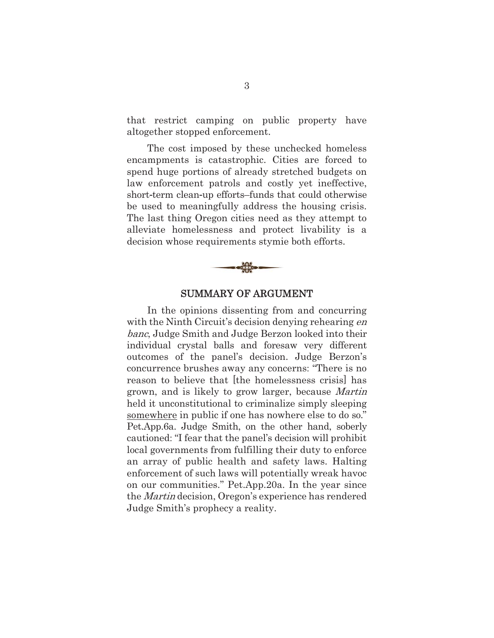that restrict camping on public property have altogether stopped enforcement.

The cost imposed by these unchecked homeless encampments is catastrophic. Cities are forced to spend huge portions of already stretched budgets on law enforcement patrols and costly yet ineffective, short-term clean-up efforts–funds that could otherwise be used to meaningfully address the housing crisis. The last thing Oregon cities need as they attempt to alleviate homelessness and protect livability is a decision whose requirements stymie both efforts.



#### SUMMARY OF ARGUMENT

In the opinions dissenting from and concurring with the Ninth Circuit's decision denying rehearing en banc, Judge Smith and Judge Berzon looked into their individual crystal balls and foresaw very different outcomes of the panel's decision. Judge Berzon's concurrence brushes away any concerns: "There is no reason to believe that [the homelessness crisis] has grown, and is likely to grow larger, because Martin held it unconstitutional to criminalize simply sleeping somewhere in public if one has nowhere else to do so." Pet.App.6a. Judge Smith, on the other hand, soberly cautioned: "I fear that the panel's decision will prohibit local governments from fulfilling their duty to enforce an array of public health and safety laws. Halting enforcement of such laws will potentially wreak havoc on our communities." Pet.App.20a. In the year since the Martin decision, Oregon's experience has rendered Judge Smith's prophecy a reality.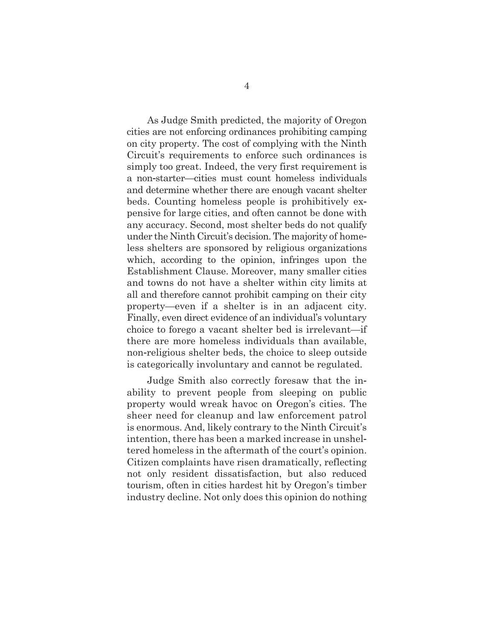As Judge Smith predicted, the majority of Oregon cities are not enforcing ordinances prohibiting camping on city property. The cost of complying with the Ninth Circuit's requirements to enforce such ordinances is simply too great. Indeed, the very first requirement is a nonstarter—cities must count homeless individuals and determine whether there are enough vacant shelter beds. Counting homeless people is prohibitively ex pensive for large cities, and often cannot be done with any accuracy. Second, most shelter beds do not qualify under the Ninth Circuit's decision. The majority of home less shelters are sponsored by religious organizations which, according to the opinion, infringes upon the Establishment Clause. Moreover, many smaller cities and towns do not have a shelter within city limits at all and therefore cannot prohibit camping on their city property—even if a shelter is in an adjacent city. Finally, even direct evidence of an individual's voluntary choice to forego a vacant shelter bed is irrelevant—if there are more homeless individuals than available, non-religious shelter beds, the choice to sleep outside is categorically involuntary and cannot be regulated.

Judge Smith also correctly foresaw that the in ability to prevent people from sleeping on public property would wreak havoc on Oregon's cities. The sheer need for cleanup and law enforcement patrol is enormous. And, likely contrary to the Ninth Circuit's intention, there has been a marked increase in unshel tered homeless in the aftermath of the court's opinion. Citizen complaints have risen dramatically, reflecting not only resident dissatisfaction, but also reduced tourism, often in cities hardest hit by Oregon's timber industry decline. Not only does this opinion do nothing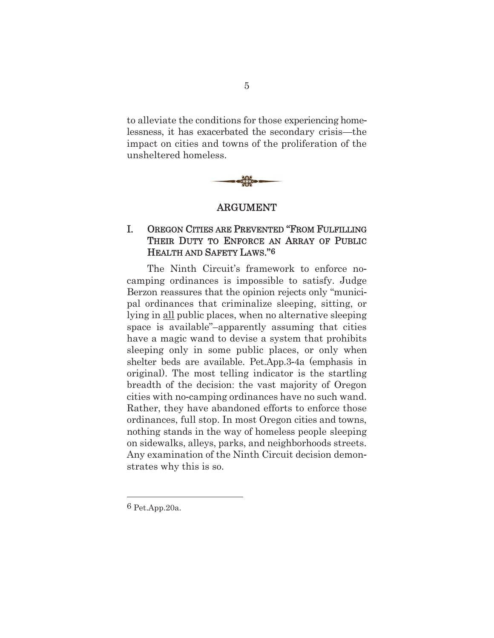to alleviate the conditions for those experiencing home lessness, it has exacerbated the secondary crisis—the impact on cities and towns of the proliferation of the unsheltered homeless.



#### ARGUMENT

#### I. OREGON CITIES ARE PREVENTED "FROM FULFILLING THEIR DUTY TO ENFORCE AN ARRAY OF PUBLIC HEALTH AND SAFETY LAWS."6

The Ninth Circuit's framework to enforce no camping ordinances is impossible to satisfy. Judge Berzon reassures that the opinion rejects only "munici pal ordinances that criminalize sleeping, sitting, or lying in all public places, when no alternative sleeping space is available"–apparently assuming that cities have a magic wand to devise a system that prohibits sleeping only in some public places, or only when shelter beds are available. Pet.App.3-4a (emphasis in original). The most telling indicator is the startling breadth of the decision: the vast majority of Oregon cities with no-camping ordinances have no such wand. Rather, they have abandoned efforts to enforce those ordinances, full stop. In most Oregon cities and towns, nothing stands in the way of homeless people sleeping on sidewalks, alleys, parks, and neighborhoods streets. Any examination of the Ninth Circuit decision demon strates why this is so.

6 Pet.App.20a.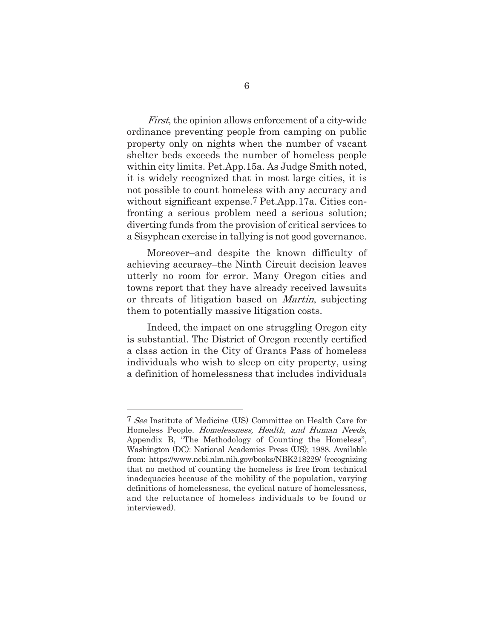First, the opinion allows enforcement of a city-wide ordinance preventing people from camping on public property only on nights when the number of vacant shelter beds exceeds the number of homeless people within city limits. Pet.App.15a. As Judge Smith noted, it is widely recognized that in most large cities, it is not possible to count homeless with any accuracy and without significant expense.7 Pet.App.17a. Cities con fronting a serious problem need a serious solution diverting funds from the provision of critical services to a Sisyphean exercise in tallying is not good governance.

Moreover–and despite the known difficulty of achieving accuracy–the Ninth Circuit decision leaves utterly no room for error. Many Oregon cities and towns report that they have already received lawsuits or threats of litigation based on Martin, subjecting them to potentially massive litigation costs.

Indeed, the impact on one struggling Oregon city is substantial. The District of Oregon recently certified a class action in the City of Grants Pass of homeless individuals who wish to sleep on city property, using a definition of homelessness that includes individuals

<u> Alexandria de la contrada de la contrada de la contrada de la contrada de la contrada de la contrada de la c</u>

<sup>7</sup> See Institute of Medicine (US) Committee on Health Care for Homeless People. Homelessness, Health, and Human Needs, Appendix B, "The Methodology of Counting the Homeless", Washington (DC): National Academies Press (US); 1988. Available from: https://www.ncbi.nlm.nih.gov/books/NBK218229/ (recognizing that no method of counting the homeless is free from technical inadequacies because of the mobility of the population, varying definitions of homelessness, the cyclical nature of homelessness, and the reluctance of homeless individuals to be found or interviewed).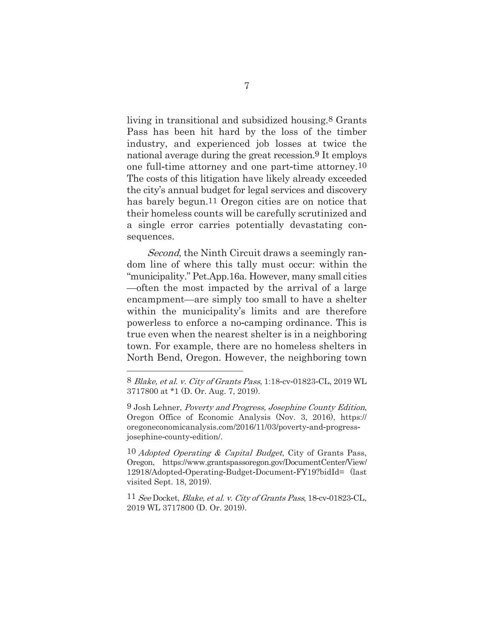living in transitional and subsidized housing.8 Grants Pass has been hit hard by the loss of the timber industry, and experienced job losses at twice the national average during the great recession.9 It employs one full-time attorney and one part-time attorney.<sup>10</sup> The costs of this litigation have likely already exceeded the city's annual budget for legal services and discovery has barely begun.11 Oregon cities are on notice that their homeless counts will be carefully scrutinized and a single error carries potentially devastating con sequences.

Second, the Ninth Circuit draws a seemingly random line of where this tally must occure within the "municipality." Pet.App.16a. However, many small cities —often the most impacted by the arrival of a large encampment—are simply too small to have a shelter within the municipality's limits and are therefore powerless to enforce a nocamping ordinance. This is true even when the nearest shelter is in a neighboring town. For example, there are no homeless shelters in North Bend, Oregon. However, the neighboring town

<u> Alexandria de la contrada de la contrada de la contrada de la contrada de la contrada de la contrada de la c</u>

 $10$  Adopted Operating & Capital Budget, City of Grants Pass, Oregon, https//www.grantspassoregon.gov/DocumentCenter/View/ 12918/Adopted-Operating-Budget-Document-FY19?bidId= (last visited Sept. 18, 2019).

 $11$  See Docket, Blake, et al. v. City of Grants Pass, 18-cv-01823-CL, 2019 WL 3717800 (D. Or. 2019).

<sup>8</sup> Blake, et al. v. City of Grants Pass, 1:18-cv-01823-CL, 2019 WL 3717800 at \*1 (D. Or. Aug. 7, 2019).

<sup>9</sup> Josh Lehner, Poverty and Progress, Josephine County Edition, Oregon Office of Economic Analysis (Nov. 3, 2016), https// oregoneconomicanalysis.com/2016/11/03/poverty-and-progressjosephine-county-edition/.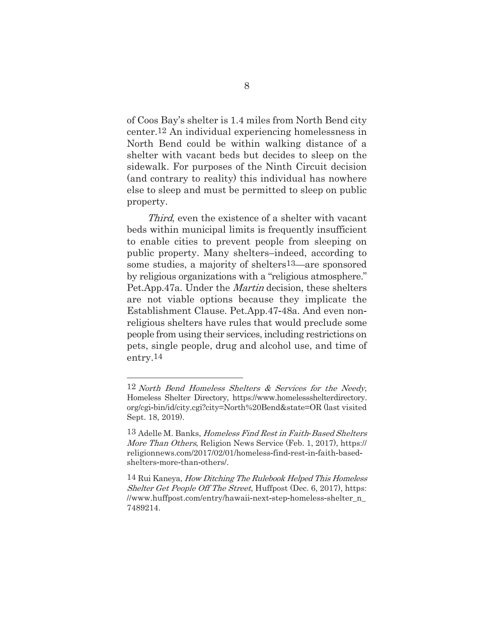of Coos Bay's shelter is 1.4 miles from North Bend city center.12 An individual experiencing homelessness in North Bend could be within walking distance of a shelter with vacant beds but decides to sleep on the sidewalk. For purposes of the Ninth Circuit decision (and contrary to reality) this individual has nowhere else to sleep and must be permitted to sleep on public property.

Third, even the existence of a shelter with vacant beds within municipal limits is frequently insufficient to enable cities to prevent people from sleeping on public property. Many shelters–indeed, according to some studies, a majority of shelters13—are sponsored by religious organizations with a "religious atmosphere." Pet.App.47a. Under the *Martin* decision, these shelters are not viable options because they implicate the Establishment Clause. Pet.App.47-48a. And even nonreligious shelters have rules that would preclude some people from using their services, including restrictions on pets, single people, drug and alcohol use, and time of entry.14

<u> Alexandria de la contrada de la contrada de la contrada de la contrada de la contrada de la contrada de la c</u>

<sup>12</sup> North Bend Homeless Shelters & Services for the Needy, Homeless Shelter Directory, https//www.homelessshelterdirectory. org/cgibin/id/city.cgi?city=North%20Bend&state=OR (last visited Sept. 18, 2019).

<sup>13</sup> Adelle M. Banks, Homeless Find Rest in Faith*-*Based Shelters More Than Others, Religion News Service (Feb. 1, 2017), https:// religionnews.com/2017/02/01/homeless-find-rest-in-faith-basedshelters-more-than-others/.

<sup>14</sup> Rui Kaneya, How Ditching The Rulebook Helped This Homeless Shelter Get People Off The Street, Huffpost (Dec. 6, 2017), https: //www.huffpost.com/entry/hawaii-next-step-homeless-shelter\_n\_ 7489214.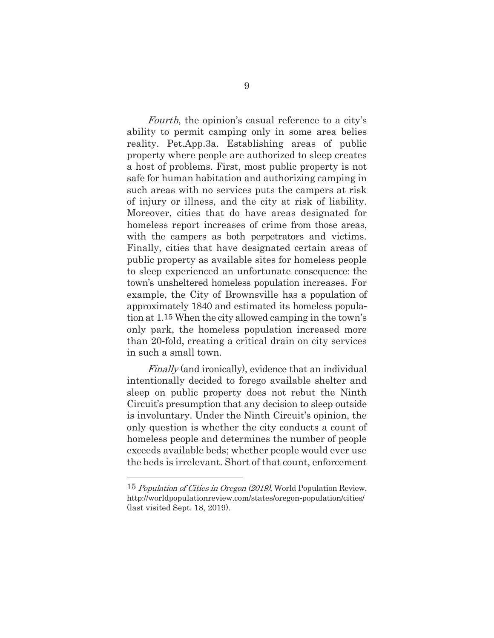Fourth, the opinion's casual reference to a city's ability to permit camping only in some area belies reality. Pet.App.3a. Establishing areas of public property where people are authorized to sleep creates a host of problems. First, most public property is not safe for human habitation and authorizing camping in such areas with no services puts the campers at risk of injury or illness, and the city at risk of liability. Moreover, cities that do have areas designated for homeless report increases of crime from those areas, with the campers as both perpetrators and victims. Finally, cities that have designated certain areas of public property as available sites for homeless people to sleep experienced an unfortunate consequence: the town's unsheltered homeless population increases. For example, the City of Brownsville has a population of approximately 1840 and estimated its homeless popula tion at 1.15 When the city allowed camping in the town's only park, the homeless population increased more than 20-fold, creating a critical drain on city services in such a small town.

Finally (and ironically), evidence that an individual intentionally decided to forego available shelter and sleep on public property does not rebut the Ninth Circuit's presumption that any decision to sleep outside is involuntary. Under the Ninth Circuit's opinion, the only question is whether the city conducts a count of homeless people and determines the number of people exceeds available beds; whether people would ever use the beds is irrelevant. Short of that count, enforcement

<sup>15</sup> Population of Cities in Oregon (2019), World Population Review, http://worldpopulationreview.com/states/oregon-population/cities/ (last visited Sept. 18, 2019).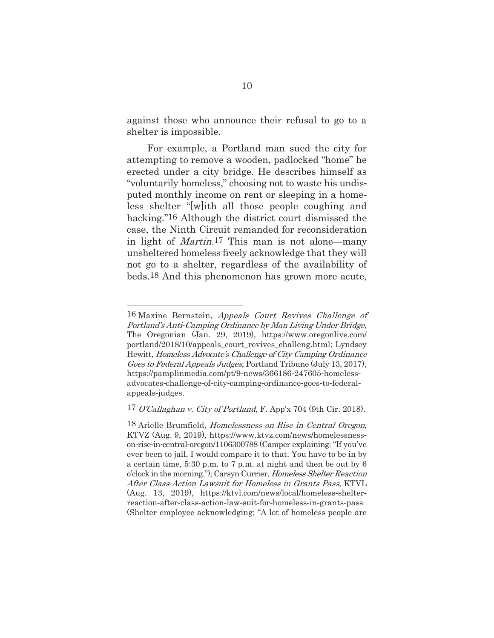against those who announce their refusal to go to a shelter is impossible.

For example, a Portland man sued the city for attempting to remove a wooden, padlocked "home" he erected under a city bridge. He describes himself as "voluntarily homeless," choosing not to waste his undis puted monthly income on rent or sleeping in a home less shelter "[w]ith all those people coughing and hacking."16 Although the district court dismissed the case, the Ninth Circuit remanded for reconsideration in light of Martin.17 This man is not alone—many unsheltered homeless freely acknowledge that they will not go to a shelter, regardless of the availability of beds.18 And this phenomenon has grown more acute,

<sup>16</sup> Maxine Bernstein, Appeals Court Revives Challenge of Portland's Anti*-*Camping Ordinance by Man Living Under Bridge, The Oregonian (Jan. 29, 2019), https//www.oregonlive.com/ portland/2018/10/appeals\_court\_revives\_challeng.html; Lyndsey Hewitt, Homeless Advocate's Challenge of City Camping Ordinance Goes to Federal Appeals Judges, Portland Tribune (July 13, 2017), https://pamplinmedia.com/pt/9-news/366186-247605-homelessadvocates-challenge-of-city-camping-ordinance-goes-to-federalappeals-judges.

<sup>17</sup> O'Callaghan v. City of Portland, F. App'x 704 (9th Cir. 2018).

<sup>18</sup> Arielle Brumfield, Homelessness on Rise in Central Oregon, KTVZ (Aug. 9, 2019), https//www.ktvz.com/news/homelessness on-rise-in-central-oregon/1106300788 (Camper explaining: "If you've ever been to jail, I would compare it to that. You have to be in by a certain time, 530 p.m. to 7 p.m. at night and then be out by 6 o'clock in the morning."); Carsyn Currier, *Homeless Shelter Reaction* After Class*-*Action Lawsuit for Homeless in Grants Pass, KTVL (Aug. 13, 2019), https://ktvl.com/news/local/homeless-shelterreaction-after-class-action-law-suit-for-homeless-in-grants-pass (Shelter employee acknowledging: "A lot of homeless people are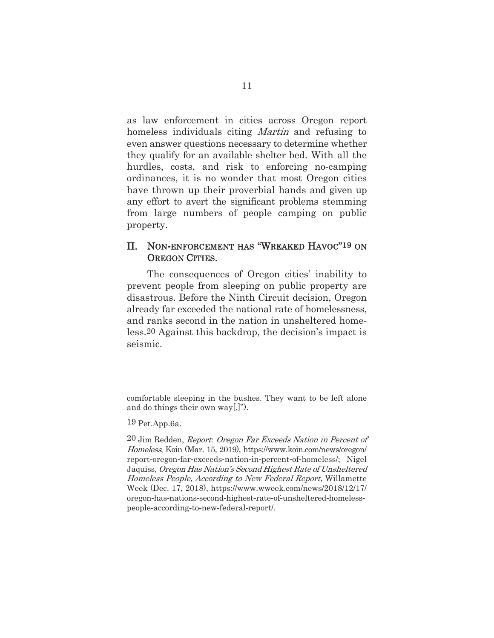as law enforcement in cities across Oregon report homeless individuals citing *Martin* and refusing to even answer questions necessary to determine whether they qualify for an available shelter bed. With all the hurdles, costs, and risk to enforcing no-camping ordinances, it is no wonder that most Oregon cities have thrown up their proverbial hands and given up any effort to avert the significant problems stemming from large numbers of people camping on public property.

#### II. NON-ENFORCEMENT HAS "WREAKED HAVOC"<sup>19</sup> ON OREGON CITIES.

The consequences of Oregon cities' inability to prevent people from sleeping on public property are disastrous. Before the Ninth Circuit decision, Oregon already far exceeded the national rate of homelessness, and ranks second in the nation in unsheltered home less.20 Against this backdrop, the decision's impact is seismic.

comfortable sleeping in the bushes. They want to be left alone and do things their own way[.]").

<sup>19</sup> Pet.App.6a.

<sup>20</sup> Jim Redden, Report*:* Oregon Far Exceeds Nation in Percent of Homeless, Koin (Mar. 15, 2019), https//www.koin.com/news/oregon/ report-oregon-far-exceeds-nation-in-percent-of-homeless/; Nigel Jaquiss, Oregon Has Nation's Second Highest Rate of Unsheltered Homeless People, According to New Federal Report, Willamette Week (Dec. 17, 2018), https//www.wweek.com/news/2018/12/17/ oregon-has-nations-second-highest-rate-of-unsheltered-homelesspeople-according-to-new-federal-report.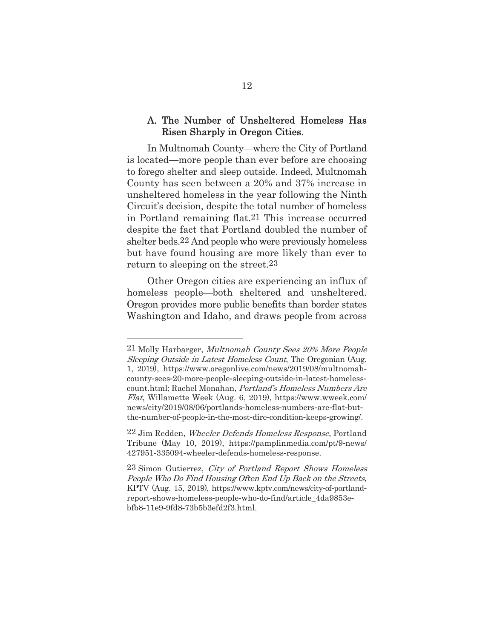#### A. The Number of Unsheltered Homeless Has Risen Sharply in Oregon Cities.

In Multnomah County—where the City of Portland is located—more people than ever before are choosing to forego shelter and sleep outside. Indeed, Multnomah County has seen between a 20% and 37% increase in unsheltered homeless in the year following the Ninth Circuit's decision, despite the total number of homeless in Portland remaining flat.21 This increase occurred despite the fact that Portland doubled the number of shelter beds.22 And people who were previously homeless but have found housing are more likely than ever to return to sleeping on the street.23

Other Oregon cities are experiencing an influx of homeless people—both sheltered and unsheltered. Oregon provides more public benefits than border states Washington and Idaho, and draws people from across

<u> Alexandria de la contrada de la contrada de la contrada de la contrada de la contrada de la contrada de la c</u>

<sup>21</sup> Molly Harbarger, Multnomah County Sees 20% More People Sleeping Outside in Latest Homeless Count, The Oregonian (Aug. 1, 2019), https//www.oregonlive.com/news/2019/08/multnomah county-sees-20-more-people-sleeping-outside-in-latest-homelesscount.html; Rachel Monahan, Portland's Homeless Numbers Are Flat, Willamette Week (Aug. 6, 2019), https//www.wweek.com/ news/city/2019/08/06/portlands-homeless-numbers-are-flat-butthe-number-of-people-in-the-most-dire-condition-keeps-growing.

<sup>22</sup> Jim Redden, Wheeler Defends Homeless Response, Portland Tribune (May 10, 2019), https://pamplinmedia.com/pt/9-news/ 427951-335094-wheeler-defends-homeless-response.

<sup>23</sup> Simon Gutierrez, City of Portland Report Shows Homeless People Who Do Find Housing Often End Up Back on the Streets, KPTV (Aug. 15, 2019), https://www.kptv.com/news/city-of-portlandreport-shows-homeless-people-who-do-find/article\_4da9853ebfb811e99fd873b5b3efd2f3.html.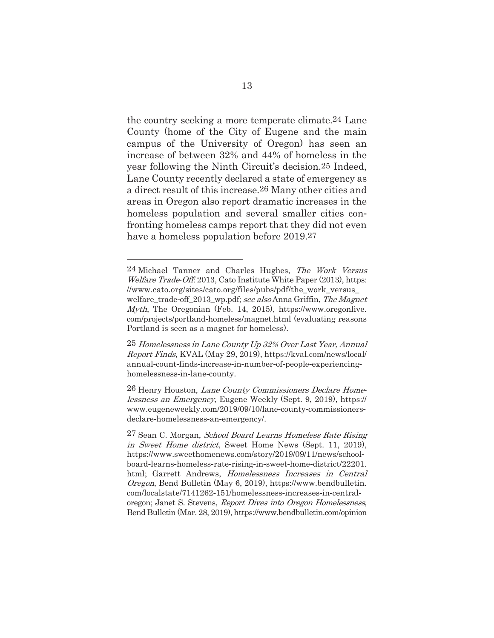the country seeking a more temperate climate.24 Lane County (home of the City of Eugene and the main campus of the University of Oregon) has seen an increase of between 32% and 44% of homeless in the year following the Ninth Circuit's decision.25 Indeed, Lane County recently declared a state of emergency as a direct result of this increase.26 Many other cities and areas in Oregon also report dramatic increases in the homeless population and several smaller cities con fronting homeless camps report that they did not even have a homeless population before 2019.27

<u> Alexandria de la contrada de la contrada de la contrada de la contrada de la contrada de la contrada de la c</u>

<sup>24</sup> Michael Tanner and Charles Hughes, The Work Versus *Welfare Trade-Off.* 2013, Cato Institute White Paper (2013), https: //www.cato.org/sites/cato.org/files/pubs/pdf/the\_work\_versus\_ welfare trade-off 2013 wp.pdf; see also Anna Griffin, The Magnet *Myth*, The Oregonian (Feb. 14, 2015), https://www.oregonlive. com/projects/portland-homeless/magnet.html (evaluating reasons Portland is seen as a magnet for homeless).

<sup>25</sup> Homelessness in Lane County Up 32% Over Last Year, Annual Report Finds, KVAL (May 29, 2019), https//kval.com/news/local/ annual-count-finds-increase-in-number-of-people-experiencinghomelessness-in-lane-county.

<sup>26</sup> Henry Houston, Lane County Commissioners Declare Homelessness an Emergency, Eugene Weekly (Sept. 9, 2019), https:// www.eugeneweekly.com/2019/09/10/lane-county-commissionersdeclare-homelessness-an-emergency/.

<sup>27</sup> Sean C. Morgan, School Board Learns Homeless Rate Rising in Sweet Home district, Sweet Home News (Sept. 11, 2019), https//www.sweethomenews.com/story/2019/09/11/news/school board-learns-homeless-rate-rising-in-sweet-home-district/22201. html; Garrett Andrews, Homelessness Increases in Central Oregon, Bend Bulletin (May 6, 2019), https//www.bendbulletin. com/localstate/7141262-151/homelessness-increases-in-centraloregon; Janet S. Stevens, *Report Dives into Oregon Homelessness*, Bend Bulletin (Mar. 28, 2019), https//www.bendbulletin.com/opinion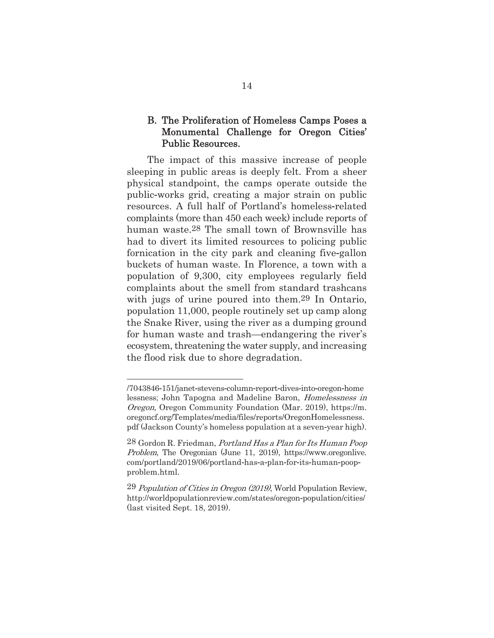#### B. The Proliferation of Homeless Camps Poses a Monumental Challenge for Oregon Cities' Public Resources.

The impact of this massive increase of people sleeping in public areas is deeply felt. From a sheer physical standpoint, the camps operate outside the public-works grid, creating a major strain on public resources. A full half of Portland's homeless-related complaints (more than 450 each week) include reports of human waste.28 The small town of Brownsville has had to divert its limited resources to policing public fornication in the city park and cleaning five-gallon buckets of human waste. In Florence, a town with a population of 9,300, city employees regularly field complaints about the smell from standard trashcans with jugs of urine poured into them.29 In Ontario, population 11,000, people routinely set up camp along the Snake River, using the river as a dumping ground for human waste and trash—endangering the river's ecosystem, threatening the water supply, and increasing the flood risk due to shore degradation.

<sup>/7043846-151/</sup>janet-stevens-column-report-dives-into-oregon-home lessness; John Tapogna and Madeline Baron, *Homelessness in* Oregon, Oregon Community Foundation (Mar. 2019), https://m. oregoncf.org/Templates/media/files/reports/OregonHomelessness. pdf (Jackson County's homeless population at a seven-year high).

<sup>28</sup> Gordon R. Friedman, Portland Has a Plan for Its Human Poop Problem, The Oregonian (June 11, 2019), https//www.oregonlive. com/portland/2019/06/portland-has-a-plan-for-its-human-poopproblem.html.

<sup>29</sup> Population of Cities in Oregon (2019), World Population Review, http://worldpopulationreview.com/states/oregon-population/cities/ (last visited Sept. 18, 2019).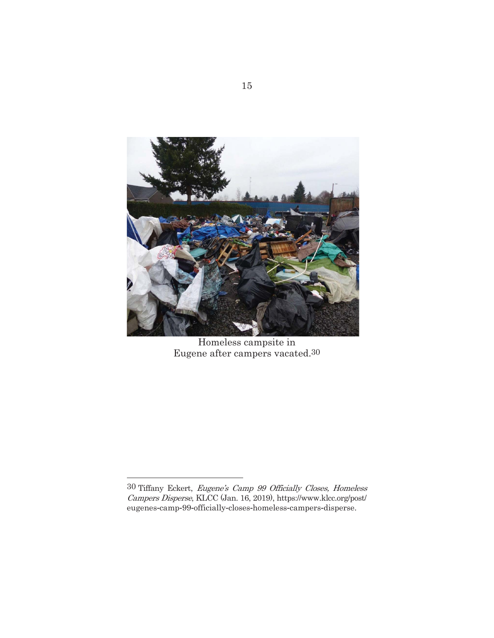

Homeless campsite in Eugene after campers vacated.30

<sup>30</sup> Tiffany Eckert, Eugene's Camp 99 Officially Closes, Homeless Campers Disperse, KLCC (Jan. 16, 2019), https//www.klcc.org/post/ eugenes-camp-99-officially-closes-homeless-campers-disperse.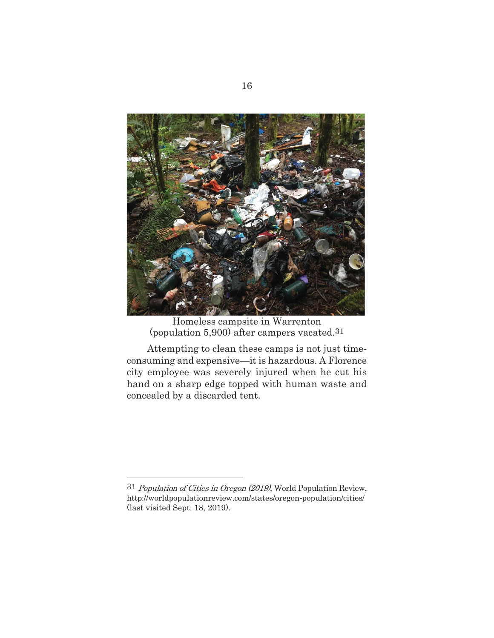

Homeless campsite in Warrenton (population 5,900) after campers vacated.31

Attempting to clean these camps is not just time consuming and expensive—it is hazardous. A Florence city employee was severely injured when he cut his hand on a sharp edge topped with human waste and concealed by a discarded tent.

<sup>31</sup> Population of Cities in Oregon (2019), World Population Review, http://worldpopulationreview.com/states/oregon-population/cities/ (last visited Sept. 18, 2019).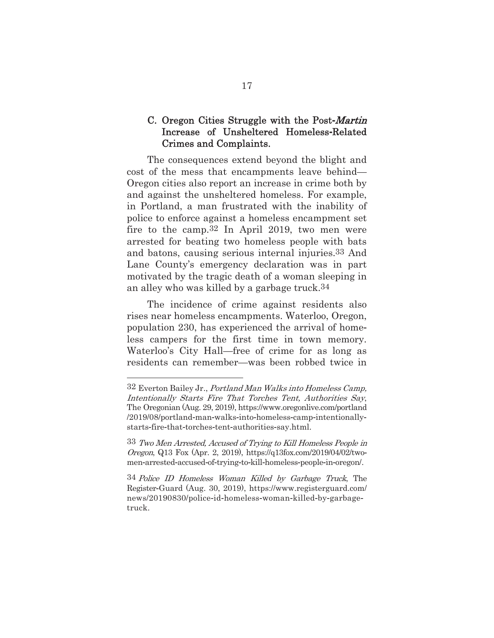#### C. Oregon Cities Struggle with the Post-Martin Increase of Unsheltered Homeless-Related Crimes and Complaints.

The consequences extend beyond the blight and cost of the mess that encampments leave behind— Oregon cities also report an increase in crime both by and against the unsheltered homeless. For example, in Portland, a man frustrated with the inability of police to enforce against a homeless encampment set fire to the camp.32 In April 2019, two men were arrested for beating two homeless people with bats and batons, causing serious internal injuries.33 And Lane County's emergency declaration was in part motivated by the tragic death of a woman sleeping in an alley who was killed by a garbage truck.34

The incidence of crime against residents also rises near homeless encampments. Waterloo, Oregon, population 230, has experienced the arrival of home less campers for the first time in town memory. Waterloo's City Hall—free of crime for as long as residents can remember—was been robbed twice in

<u> Alexandria de la contrada de la contrada de la contrada de la contrada de la contrada de la contrada de la c</u>

<sup>32</sup> Everton Bailey Jr., Portland Man Walks into Homeless Camp, Intentionally Starts Fire That Torches Tent, Authorities Say, The Oregonian (Aug. 29, 2019), https//www.oregonlive.com/portland  $/2019/08$ /portland-man-walks-into-homeless-camp-intentionallystarts-fire-that-torches-tent-authorities-say.html.

<sup>33</sup> Two Men Arrested, Accused of Trying to Kill Homeless People in Oregon, Q13 Fox (Apr. 2, 2019), https//q13fox.com/2019/04/02/two men-arrested-accused-of-trying-to-kill-homeless-people-in-oregon/.

<sup>34</sup> Police ID Homeless Woman Killed by Garbage Truck, The RegisterGuard (Aug. 30, 2019), https//www.registerguard.com/ news/20190830/police-id-homeless-woman-killed-by-garbagetruck.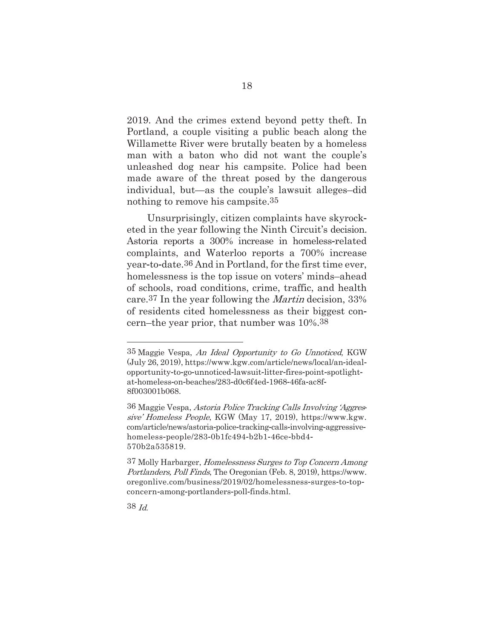2019. And the crimes extend beyond petty theft. In Portland, a couple visiting a public beach along the Willamette River were brutally beaten by a homeless man with a baton who did not want the couple's unleashed dog near his campsite. Police had been made aware of the threat posed by the dangerous individual, but—as the couple's lawsuit alleges–did nothing to remove his campsite.35

Unsurprisingly, citizen complaints have skyrock eted in the year following the Ninth Circuit's decision. Astoria reports a 300% increase in homeless-related complaints, and Waterloo reports a 700% increase year-to-date.<sup>36</sup> And in Portland, for the first time ever, homelessness is the top issue on voters' minds–ahead of schools, road conditions, crime, traffic, and health care.37 In the year following the Martin decision, 33% of residents cited homelessness as their biggest con cern–the year prior, that number was 10%.38

<sup>35</sup> Maggie Vespa, An Ideal Opportunity to Go Unnoticed, KGW (July 26, 2019), https://www.kgw.com/article/news/local/an-idealopportunity-to-go-unnoticed-lawsuit-litter-fires-point-spotlightat-homeless-on-beaches/283-d0c6f4ed-1968-46fa-ac8f-8f003001b068.

<sup>36</sup> Maggie Vespa, Astoria Police Tracking Calls Involving 'Aggressive' Homeless People, KGW (May 17, 2019), https://www.kgw. com/article/news/astoria-police-tracking-calls-involving-aggressivehomeless-people/283-0b1fc494-b2b1-46ce-bbd4-570b2a535819.

<sup>37</sup> Molly Harbarger, Homelessness Surges to Top Concern Among Portlanders, Poll Finds, The Oregonian (Feb. 8, 2019), https://www. oregonlive.com/business/2019/02/homelessness-surges-to-topconcern-among-portlanders-poll-finds.html.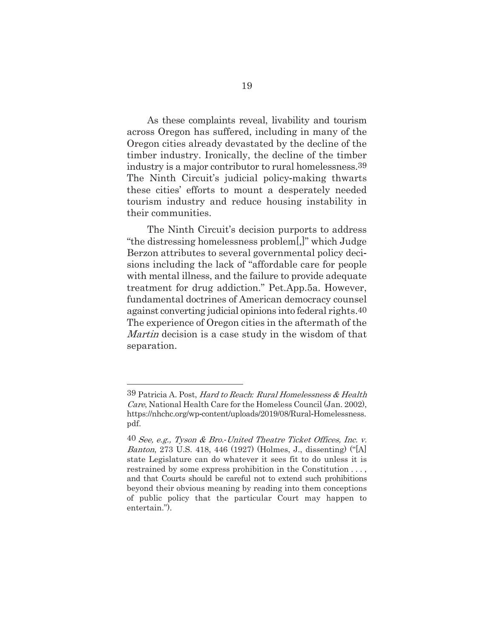As these complaints reveal, livability and tourism across Oregon has suffered, including in many of the Oregon cities already devastated by the decline of the timber industry. Ironically, the decline of the timber industry is a major contributor to rural homelessness.39 The Ninth Circuit's judicial policy-making thwarts these cities' efforts to mount a desperately needed tourism industry and reduce housing instability in their communities.

The Ninth Circuit's decision purports to address "the distressing homelessness problem[,]" which Judge Berzon attributes to several governmental policy deci sions including the lack of "affordable care for people with mental illness, and the failure to provide adequate treatment for drug addiction." Pet.App.5a. However, fundamental doctrines of American democracy counsel against converting judicial opinions into federal rights.40 The experience of Oregon cities in the aftermath of the Martin decision is a case study in the wisdom of that separation.

<sup>39</sup> Patricia A. Post, Hard to Reach*:* Rural Homelessness & Health Care, National Health Care for the Homeless Council (Jan. 2002), https://nhchc.org/wp-content/uploads/2019/08/Rural-Homelessness. pdf.

<sup>40</sup> See, e.g., Tyson & Bro.*-*United Theatre Ticket Offices, Inc. v. Banton, 273 U.S. 418, 446 (1927) (Holmes, J., dissenting) ("[A] state Legislature can do whatever it sees fit to do unless it is restrained by some express prohibition in the Constitution . . . , and that Courts should be careful not to extend such prohibitions beyond their obvious meaning by reading into them conceptions of public policy that the particular Court may happen to entertain.").